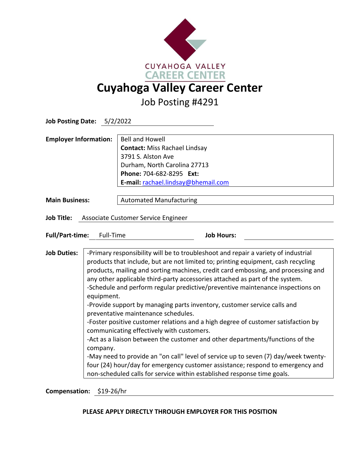

Job Posting #4291

| <b>Job Posting Date: 5/2/2022</b>                        |                                                                                                                                                                                                                                                                                                                                                                                                                                                                                                                                                                                                                                                                                                                                                                                                                                                                                                                                                                                                                                                    |                                                                                                                                                                                         |
|----------------------------------------------------------|----------------------------------------------------------------------------------------------------------------------------------------------------------------------------------------------------------------------------------------------------------------------------------------------------------------------------------------------------------------------------------------------------------------------------------------------------------------------------------------------------------------------------------------------------------------------------------------------------------------------------------------------------------------------------------------------------------------------------------------------------------------------------------------------------------------------------------------------------------------------------------------------------------------------------------------------------------------------------------------------------------------------------------------------------|-----------------------------------------------------------------------------------------------------------------------------------------------------------------------------------------|
| <b>Employer Information:</b>                             |                                                                                                                                                                                                                                                                                                                                                                                                                                                                                                                                                                                                                                                                                                                                                                                                                                                                                                                                                                                                                                                    | <b>Bell and Howell</b><br><b>Contact: Miss Rachael Lindsay</b><br>3791 S. Alston Ave<br>Durham, North Carolina 27713<br>Phone: 704-682-8295 Ext:<br>E-mail: rachael.lindsay@bhemail.com |
| <b>Main Business:</b>                                    |                                                                                                                                                                                                                                                                                                                                                                                                                                                                                                                                                                                                                                                                                                                                                                                                                                                                                                                                                                                                                                                    | <b>Automated Manufacturing</b>                                                                                                                                                          |
| <b>Job Title:</b><br>Associate Customer Service Engineer |                                                                                                                                                                                                                                                                                                                                                                                                                                                                                                                                                                                                                                                                                                                                                                                                                                                                                                                                                                                                                                                    |                                                                                                                                                                                         |
| <b>Full/Part-time:</b>                                   | Full-Time                                                                                                                                                                                                                                                                                                                                                                                                                                                                                                                                                                                                                                                                                                                                                                                                                                                                                                                                                                                                                                          | <b>Job Hours:</b>                                                                                                                                                                       |
| <b>Job Duties:</b>                                       | -Primary responsibility will be to troubleshoot and repair a variety of industrial<br>products that include, but are not limited to; printing equipment, cash recycling<br>products, mailing and sorting machines, credit card embossing, and processing and<br>any other applicable third-party accessories attached as part of the system.<br>-Schedule and perform regular predictive/preventive maintenance inspections on<br>equipment.<br>-Provide support by managing parts inventory, customer service calls and<br>preventative maintenance schedules.<br>-Foster positive customer relations and a high degree of customer satisfaction by<br>communicating effectively with customers.<br>-Act as a liaison between the customer and other departments/functions of the<br>company.<br>-May need to provide an "on call" level of service up to seven (7) day/week twenty-<br>four (24) hour/day for emergency customer assistance; respond to emergency and<br>non-scheduled calls for service within established response time goals. |                                                                                                                                                                                         |

**Compensation:** \$19-26/hr

## **PLEASE APPLY DIRECTLY THROUGH EMPLOYER FOR THIS POSITION**